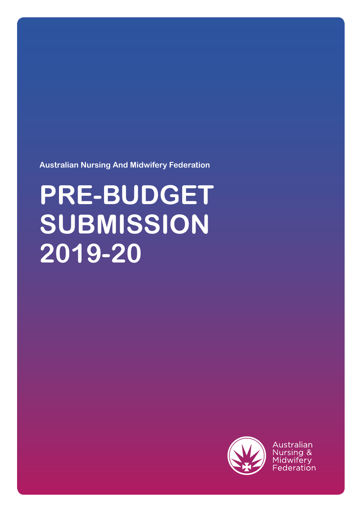**Australian Nursing And Midwifery Federation**

# **PRE-BUDGET SUBMISSION 2019-20**



Australian Nursing & Midwifery Federation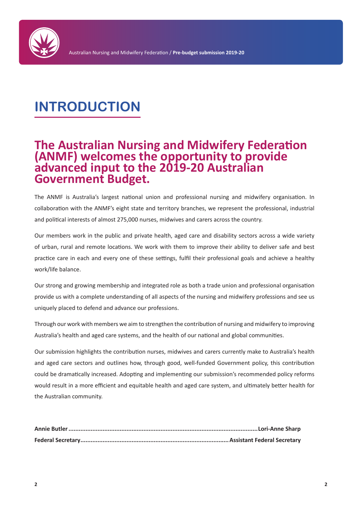

# **INTRODUCTION**

# **The Australian Nursing and Midwifery Federation (ANMF) welcomes the opportunity to provide advanced input to the 2019-20 Australian Government Budget.**

The ANMF is Australia's largest national union and professional nursing and midwifery organisation. In collaboration with the ANMF's eight state and territory branches, we represent the professional, industrial and political interests of almost 275,000 nurses, midwives and carers across the country.

Our members work in the public and private health, aged care and disability sectors across a wide variety of urban, rural and remote locations. We work with them to improve their ability to deliver safe and best practice care in each and every one of these settings, fulfil their professional goals and achieve a healthy work/life balance.

Our strong and growing membership and integrated role as both a trade union and professional organisation provide us with a complete understanding of all aspects of the nursing and midwifery professions and see us uniquely placed to defend and advance our professions.

Through our work with members we aim to strengthen the contribution of nursing and midwifery to improving Australia's health and aged care systems, and the health of our national and global communities.

Our submission highlights the contribution nurses, midwives and carers currently make to Australia's health and aged care sectors and outlines how, through good, well-funded Government policy, this contribution could be dramatically increased. Adopting and implementing our submission's recommended policy reforms would result in a more efficient and equitable health and aged care system, and ultimately better health for the Australian community.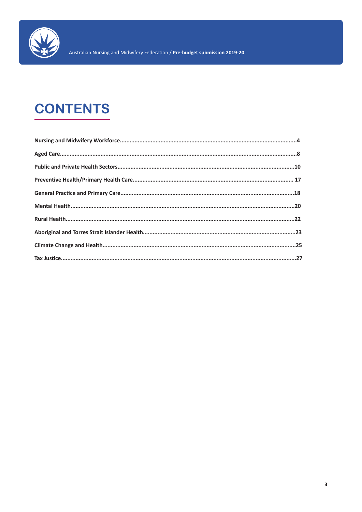

# **CONTENTS**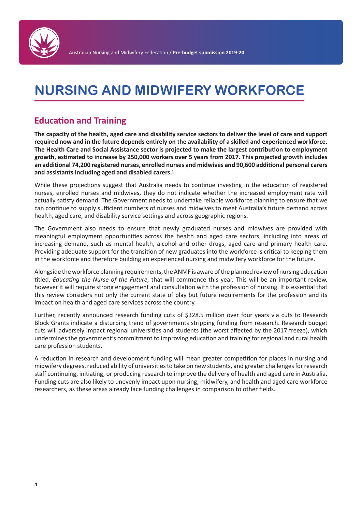

# **NURSING AND MIDWIFERY WORKFORCE**

# **Education and Training**

**The capacity of the health, aged care and disability service sectors to deliver the level of care and support required now and in the future depends entirely on the availability of a skilled and experienced workforce. The Health Care and Social Assistance sector is projected to make the largest contribution to employment growth, estimated to increase by 250,000 workers over 5 years from 2017. This projected growth includes an additional 74,200 registered nurses, enrolled nurses and midwives and 90,600 additional personal carers and assistants including aged and disabled carers.1**

While these projections suggest that Australia needs to continue investing in the education of registered nurses, enrolled nurses and midwives, they do not indicate whether the increased employment rate will actually satisfy demand. The Government needs to undertake reliable workforce planning to ensure that we can continue to supply sufficient numbers of nurses and midwives to meet Australia's future demand across health, aged care, and disability service settings and across geographic regions.

The Government also needs to ensure that newly graduated nurses and midwives are provided with meaningful employment opportunities across the health and aged care sectors, including into areas of increasing demand, such as mental health, alcohol and other drugs, aged care and primary health care. Providing adequate support for the transition of new graduates into the workforce is critical to keeping them in the workforce and therefore building an experienced nursing and midwifery workforce for the future.

Alongside the workforce planning requirements, the ANMF is aware of the planned review of nursing education titled, *Educating the Nurse of the Future*, that will commence this year. This will be an important review, however it will require strong engagement and consultation with the profession of nursing. It is essential that this review considers not only the current state of play but future requirements for the profession and its impact on health and aged care services across the country.

Further, recently announced research funding cuts of \$328.5 million over four years via cuts to Research Block Grants indicate a disturbing trend of governments stripping funding from research. Research budget cuts will adversely impact regional universities and students (the worst affected by the 2017 freeze), which undermines the government's commitment to improving education and training for regional and rural health care profession students.

A reduction in research and development funding will mean greater competition for places in nursing and midwifery degrees, reduced ability of universities to take on new students, and greater challenges for research staff continuing, initiating, or producing research to improve the delivery of health and aged care in Australia. Funding cuts are also likely to unevenly impact upon nursing, midwifery, and health and aged care workforce researchers, as these areas already face funding challenges in comparison to other fields.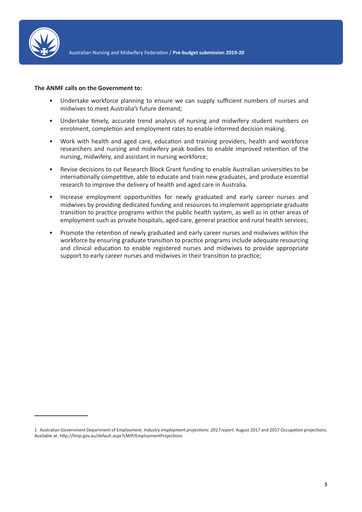

- Undertake workforce planning to ensure we can supply sufficient numbers of nurses and midwives to meet Australia's future demand;
- Undertake timely, accurate trend analysis of nursing and midwifery student numbers on enrolment, completion and employment rates to enable informed decision making.
- Work with health and aged care, education and training providers, health and workforce researchers and nursing and midwifery peak bodies to enable improved retention of the nursing, midwifery, and assistant in nursing workforce;
- Revise decisions to cut Research Block Grant funding to enable Australian universities to be internationally competitive, able to educate and train new graduates, and produce essential research to improve the delivery of health and aged care in Australia.
- Increase employment opportunities for newly graduated and early career nurses and midwives by providing dedicated funding and resources to implement appropriate graduate transition to practice programs within the public health system, as well as in other areas of employment such as private hospitals, aged care, general practice and rural health services;
- Promote the retention of newly graduated and early career nurses and midwives within the workforce by ensuring graduate transition to practice programs include adequate resourcing and clinical education to enable registered nurses and midwives to provide appropriate support to early career nurses and midwives in their transition to practice;

<sup>1</sup> Australian Government Department of Employment. *Industry employment projections: 2017 report*. August 2017 and 2017 Occupation projections. Available at: http://lmip.gov.au/default.aspx?LMIP/EmploymentProjections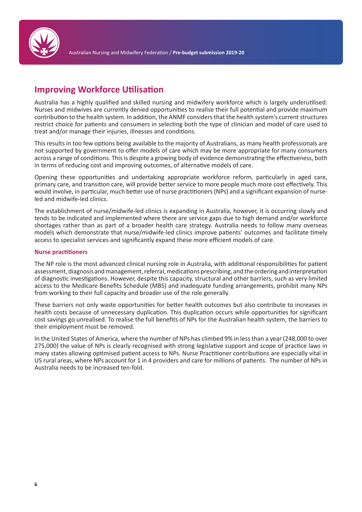

# **Improving Workforce Utilisation**

Australia has a highly qualified and skilled nursing and midwifery workforce which is largely underutilised. Nurses and midwives are currently denied opportunities to realise their full potential and provide maximum contribution to the health system. In addition, the ANMF considers that the health system's current structures restrict choice for patients and consumers in selecting both the type of clinician and model of care used to treat and/or manage their injuries, illnesses and conditions.

This results in too few options being available to the majority of Australians, as many health professionals are not supported by government to offer models of care which may be more appropriate for many consumers across a range of conditions. This is despite a growing body of evidence demonstrating the effectiveness, both in terms of reducing cost and improving outcomes, of alternative models of care.

Opening these opportunities and undertaking appropriate workforce reform, particularly in aged care, primary care, and transition care, will provide better service to more people much more cost effectively. This would involve, in particular, much better use of nurse practitioners (NPs) and a significant expansion of nurseled and midwife-led clinics.

The establishment of nurse/midwife-led clinics is expanding in Australia, however, it is occurring slowly and tends to be indicated and implemented where there are service gaps due to high demand and/or workforce shortages rather than as part of a broader health care strategy. Australia needs to follow many overseas models which demonstrate that nurse/midwife-led clinics improve patients' outcomes and facilitate timely access to specialist services and significantly expand these more efficient models of care.

# **Nurse practitioners**

The NP role is the most advanced clinical nursing role in Australia, with additional responsibilities for patient assessment, diagnosis and management, referral, medications prescribing, and the ordering and interpretation of diagnostic investigations. However, despite this capacity, structural and other barriers, such as very limited access to the Medicare Benefits Schedule (MBS) and inadequate funding arrangements, prohibit many NPs from working to their full capacity and broader use of the role generally.

These barriers not only waste opportunities for better health outcomes but also contribute to increases in health costs because of unnecessary duplication. This duplication occurs while opportunities for significant cost savings go unrealised. To realise the full benefits of NPs for the Australian health system, the barriers to their employment must be removed.

In the United States of America, where the number of NPs has climbed 9% in less than a year (248,000 to over 275,000) the value of NPs is clearly recognised with strong legislative support and scope of practice laws in many states allowing optimised patient access to NPs. Nurse Practitioner contributions are especially vital in US rural areas, where NPs account for 1 in 4 providers and care for millions of patients. The number of NPs in Australia needs to be increased ten-fold.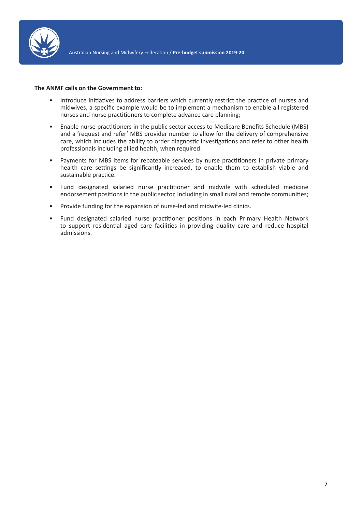

- Introduce initiatives to address barriers which currently restrict the practice of nurses and midwives, a specific example would be to implement a mechanism to enable all registered nurses and nurse practitioners to complete advance care planning;
- Enable nurse practitioners in the public sector access to Medicare Benefits Schedule (MBS) and a 'request and refer' MBS provider number to allow for the delivery of comprehensive care, which includes the ability to order diagnostic investigations and refer to other health professionals including allied health, when required.
- Payments for MBS items for rebateable services by nurse practitioners in private primary health care settings be significantly increased, to enable them to establish viable and sustainable practice.
- Fund designated salaried nurse practitioner and midwife with scheduled medicine endorsement positions in the public sector, including in small rural and remote communities;
- Provide funding for the expansion of nurse-led and midwife-led clinics.
- Fund designated salaried nurse practitioner positions in each Primary Health Network to support residential aged care facilities in providing quality care and reduce hospital admissions.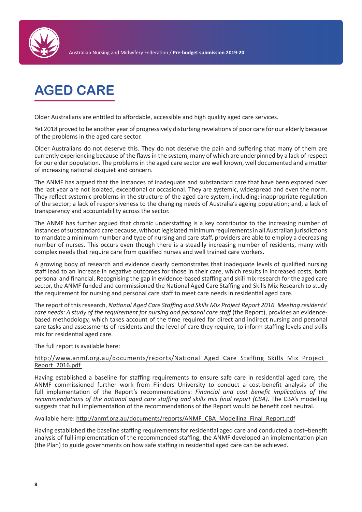

# **AGED CARE**

Older Australians are entitled to affordable, accessible and high quality aged care services.

Yet 2018 proved to be another year of progressively disturbing revelations of poor care for our elderly because of the problems in the aged care sector.

Older Australians do not deserve this. They do not deserve the pain and suffering that many of them are currently experiencing because of the flaws in the system, many of which are underpinned by a lack of respect for our elder population. The problems in the aged care sector are well known, well documented and a matter of increasing national disquiet and concern.

The ANMF has argued that the instances of inadequate and substandard care that have been exposed over the last year are not isolated, exceptional or occasional. They are systemic, widespread and even the norm. They reflect systemic problems in the structure of the aged care system, including: inappropriate regulation of the sector; a lack of responsiveness to the changing needs of Australia's ageing population; and, a lack of transparency and accountability across the sector.

The ANMF has further argued that chronic understaffing is a key contributor to the increasing number of instances of substandard care because, without legislated minimum requirements in all Australian jurisdictions to mandate a minimum number and type of nursing and care staff, providers are able to employ a decreasing number of nurses. This occurs even though there is a steadily increasing number of residents, many with complex needs that require care from qualified nurses and well trained care workers.

A growing body of research and evidence clearly demonstrates that inadequate levels of qualified nursing staff lead to an increase in negative outcomes for those in their care, which results in increased costs, both personal and financial. Recognising the gap in evidence-based staffing and skill mix research for the aged care sector, the ANMF funded and commissioned the National Aged Care Staffing and Skills Mix Research to study the requirement for nursing and personal care staff to meet care needs in residential aged care.

The report of this research, *National Aged Care Staffing and Skills Mix Project Report 2016. Meeting residents' care needs: A study of the requirement for nursing and personal care staff* (the Report), provides an evidencebased methodology, which takes account of the time required for direct and indirect nursing and personal care tasks and assessments of residents and the level of care they require, to inform staffing levels and skills mix for residential aged care.

# The full report is available here:

### http://www.anmf.org.au/documents/reports/National\_Aged\_Care\_Staffing\_Skills\_Mix\_Project\_ Report\_2016.pdf

Having established a baseline for staffing requirements to ensure safe care in residential aged care, the ANMF commissioned further work from Flinders University to conduct a cost-benefit analysis of the full implementation of the Report's recommendations: *Financial and cost benefit implications of the recommendations of the national aged care staffing and skills mix final report (CBA)*. The CBA's modelling suggests that full implementation of the recommendations of the Report would be benefit cost neutral.

#### Available here: http://anmf.org.au/documents/reports/ANMF\_CBA\_Modelling\_Final\_Report.pdf

Having established the baseline staffing requirements for residential aged care and conducted a cost–benefit analysis of full implementation of the recommended staffing, the ANMF developed an implementation plan (the Plan) to guide governments on how safe staffing in residential aged care can be achieved.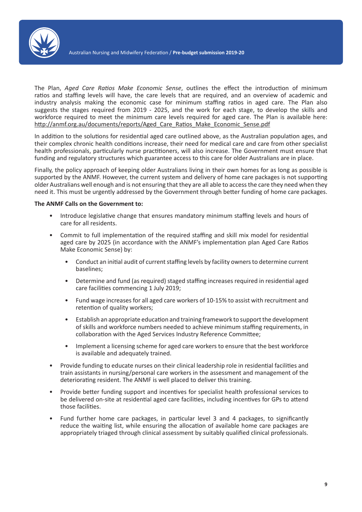

The Plan, *Aged Care Ratios Make Economic Sense*, outlines the effect the introduction of minimum ratios and staffing levels will have, the care levels that are required, and an overview of academic and industry analysis making the economic case for minimum staffing ratios in aged care. The Plan also suggests the stages required from 2019 - 2025, and the work for each stage, to develop the skills and workforce required to meet the minimum care levels required for aged care. The Plan is available here: http://anmf.org.au/documents/reports/Aged\_Care\_Ratios\_Make\_Economic\_Sense.pdf

In addition to the solutions for residential aged care outlined above, as the Australian population ages, and their complex chronic health conditions increase, their need for medical care and care from other specialist health professionals, particularly nurse practitioners, will also increase. The Government must ensure that funding and regulatory structures which guarantee access to this care for older Australians are in place.

Finally, the policy approach of keeping older Australians living in their own homes for as long as possible is supported by the ANMF. However, the current system and delivery of home care packages is not supporting older Australians well enough and is not ensuring that they are all able to access the care they need when they need it. This must be urgently addressed by the Government through better funding of home care packages.

- Introduce legislative change that ensures mandatory minimum staffing levels and hours of care for all residents.
- Commit to full implementation of the required staffing and skill mix model for residential aged care by 2025 (in accordance with the ANMF's implementation plan Aged Care Ratios Make Economic Sense) by:
	- Conduct an initial audit of current staffing levels by facility owners to determine current baselines;
	- Determine and fund (as required) staged staffing increases required in residential aged care facilities commencing 1 July 2019;
	- Fund wage increases for all aged care workers of 10-15% to assist with recruitment and retention of quality workers;
	- Establish an appropriate education and training framework to support the development of skills and workforce numbers needed to achieve minimum staffing requirements, in collaboration with the Aged Services Industry Reference Committee;
	- Implement a licensing scheme for aged care workers to ensure that the best workforce is available and adequately trained.
- Provide funding to educate nurses on their clinical leadership role in residential facilities and train assistants in nursing/personal care workers in the assessment and management of the deteriorating resident. The ANMF is well placed to deliver this training.
- Provide better funding support and incentives for specialist health professional services to be delivered on-site at residential aged care facilities, including incentives for GPs to attend those facilities.
- Fund further home care packages, in particular level 3 and 4 packages, to significantly reduce the waiting list, while ensuring the allocation of available home care packages are appropriately triaged through clinical assessment by suitably qualified clinical professionals.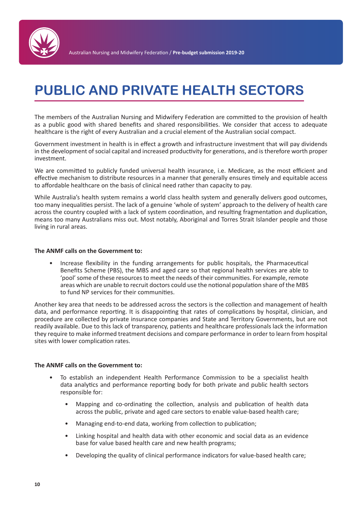

# **PUBLIC AND PRIVATE HEALTH SECTORS**

The members of the Australian Nursing and Midwifery Federation are committed to the provision of health as a public good with shared benefits and shared responsibilities. We consider that access to adequate healthcare is the right of every Australian and a crucial element of the Australian social compact.

Government investment in health is in effect a growth and infrastructure investment that will pay dividends in the development of social capital and increased productivity for generations, and is therefore worth proper investment.

We are committed to publicly funded universal health insurance, i.e. Medicare, as the most efficient and effective mechanism to distribute resources in a manner that generally ensures timely and equitable access to affordable healthcare on the basis of clinical need rather than capacity to pay.

While Australia's health system remains a world class health system and generally delivers good outcomes, too many inequalities persist. The lack of a genuine 'whole of system' approach to the delivery of health care across the country coupled with a lack of system coordination, and resulting fragmentation and duplication, means too many Australians miss out. Most notably, Aboriginal and Torres Strait Islander people and those living in rural areas.

### **The ANMF calls on the Government to:**

• Increase flexibility in the funding arrangements for public hospitals, the Pharmaceutical Benefits Scheme (PBS), the MBS and aged care so that regional health services are able to 'pool' some of these resources to meet the needs of their communities. For example, remote areas which are unable to recruit doctors could use the notional population share of the MBS to fund NP services for their communities.

Another key area that needs to be addressed across the sectors is the collection and management of health data, and performance reporting. It is disappointing that rates of complications by hospital, clinician, and procedure are collected by private insurance companies and State and Territory Governments, but are not readily available. Due to this lack of transparency, patients and healthcare professionals lack the information they require to make informed treatment decisions and compare performance in order to learn from hospital sites with lower complication rates.

- To establish an independent Health Performance Commission to be a specialist health data analytics and performance reporting body for both private and public health sectors responsible for:
	- Mapping and co-ordinating the collection, analysis and publication of health data across the public, private and aged care sectors to enable value-based health care;
	- Managing end-to-end data, working from collection to publication;
	- Linking hospital and health data with other economic and social data as an evidence base for value based health care and new health programs;
	- Developing the quality of clinical performance indicators for value-based health care;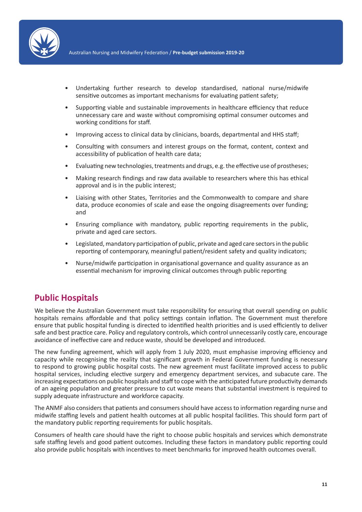

- Undertaking further research to develop standardised, national nurse/midwife sensitive outcomes as important mechanisms for evaluating patient safety;
- Supporting viable and sustainable improvements in healthcare efficiency that reduce unnecessary care and waste without compromising optimal consumer outcomes and working conditions for staff.
- Improving access to clinical data by clinicians, boards, departmental and HHS staff;
- Consulting with consumers and interest groups on the format, content, context and accessibility of publication of health care data;
- Evaluating new technologies, treatments and drugs, e.g. the effective use of prostheses;
- Making research findings and raw data available to researchers where this has ethical approval and is in the public interest;
- Liaising with other States, Territories and the Commonwealth to compare and share data, produce economies of scale and ease the ongoing disagreements over funding; and
- Ensuring compliance with mandatory, public reporting requirements in the public, private and aged care sectors.
- Legislated, mandatory participation of public, private and aged care sectors in the public reporting of contemporary, meaningful patient/resident safety and quality indicators;
- Nurse/midwife participation in organisational governance and quality assurance as an essential mechanism for improving clinical outcomes through public reporting

# **Public Hospitals**

We believe the Australian Government must take responsibility for ensuring that overall spending on public hospitals remains affordable and that policy settings contain inflation. The Government must therefore ensure that public hospital funding is directed to identified health priorities and is used efficiently to deliver safe and best practice care. Policy and regulatory controls, which control unnecessarily costly care, encourage avoidance of ineffective care and reduce waste, should be developed and introduced.

The new funding agreement, which will apply from 1 July 2020, must emphasise improving efficiency and capacity while recognising the reality that significant growth in Federal Government funding is necessary to respond to growing public hospital costs. The new agreement must facilitate improved access to public hospital services, including elective surgery and emergency department services, and subacute care. The increasing expectations on public hospitals and staff to cope with the anticipated future productivity demands of an ageing population and greater pressure to cut waste means that substantial investment is required to supply adequate infrastructure and workforce capacity.

The ANMF also considers that patients and consumers should have access to information regarding nurse and midwife staffing levels and patient health outcomes at all public hospital facilities. This should form part of the mandatory public reporting requirements for public hospitals.

Consumers of health care should have the right to choose public hospitals and services which demonstrate safe staffing levels and good patient outcomes. Including these factors in mandatory public reporting could also provide public hospitals with incentives to meet benchmarks for improved health outcomes overall.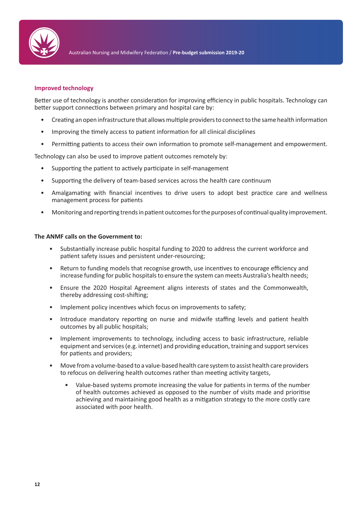

### **Improved technology**

Better use of technology is another consideration for improving efficiency in public hospitals. Technology can better support connections between primary and hospital care by:

- Creating an open infrastructure that allows multiple providers to connect to the same health information
- Improving the timely access to patient information for all clinical disciplines
- Permitting patients to access their own information to promote self-management and empowerment.

Technology can also be used to improve patient outcomes remotely by:

- Supporting the patient to actively participate in self-management
- Supporting the delivery of team-based services across the health care continuum
- Amalgamating with financial incentives to drive users to adopt best practice care and wellness management process for patients
- Monitoring and reporting trends in patient outcomes for the purposes of continual quality improvement.

- Substantially increase public hospital funding to 2020 to address the current workforce and patient safety issues and persistent under-resourcing;
- Return to funding models that recognise growth, use incentives to encourage efficiency and increase funding for public hospitals to ensure the system can meets Australia's health needs;
- Ensure the 2020 Hospital Agreement aligns interests of states and the Commonwealth, thereby addressing cost-shifting;
- Implement policy incentives which focus on improvements to safety:
- Introduce mandatory reporting on nurse and midwife staffing levels and patient health outcomes by all public hospitals;
- Implement improvements to technology, including access to basic infrastructure, reliable equipment and services (e.g. internet) and providing education, training and support services for patients and providers;
- Move from a volume-based to a value-based health care system to assist health care providers to refocus on delivering health outcomes rather than meeting activity targets,
	- Value-based systems promote increasing the value for patients in terms of the number of health outcomes achieved as opposed to the number of visits made and prioritise achieving and maintaining good health as a mitigation strategy to the more costly care associated with poor health.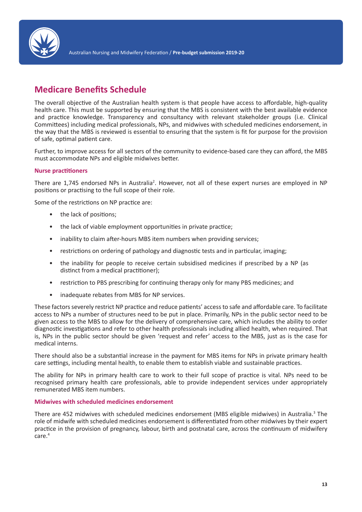

# **Medicare Benefits Schedule**

The overall objective of the Australian health system is that people have access to affordable, high-quality health care. This must be supported by ensuring that the MBS is consistent with the best available evidence and practice knowledge. Transparency and consultancy with relevant stakeholder groups (i.e. Clinical Committees) including medical professionals, NPs, and midwives with scheduled medicines endorsement, in the way that the MBS is reviewed is essential to ensuring that the system is fit for purpose for the provision of safe, optimal patient care.

Further, to improve access for all sectors of the community to evidence-based care they can afford, the MBS must accommodate NPs and eligible midwives better.

# **Nurse practitioners**

There are 1,745 endorsed NPs in Australia<sup>2</sup>. However, not all of these expert nurses are employed in NP positions or practising to the full scope of their role.

Some of the restrictions on NP practice are:

- the lack of positions;
- the lack of viable employment opportunities in private practice;
- inability to claim after-hours MBS item numbers when providing services;
- restrictions on ordering of pathology and diagnostic tests and in particular, imaging;
- the inability for people to receive certain subsidised medicines if prescribed by a NP (as distinct from a medical practitioner);
- restriction to PBS prescribing for continuing therapy only for many PBS medicines; and
- inadequate rebates from MBS for NP services.

These factors severely restrict NP practice and reduce patients' access to safe and affordable care. To facilitate access to NPs a number of structures need to be put in place. Primarily, NPs in the public sector need to be given access to the MBS to allow for the delivery of comprehensive care, which includes the ability to order diagnostic investigations and refer to other health professionals including allied health, when required. That is, NPs in the public sector should be given 'request and refer' access to the MBS, just as is the case for medical interns.

There should also be a substantial increase in the payment for MBS items for NPs in private primary health care settings, including mental health, to enable them to establish viable and sustainable practices.

The ability for NPs in primary health care to work to their full scope of practice is vital. NPs need to be recognised primary health care professionals, able to provide independent services under appropriately remunerated MBS item numbers.

#### **Midwives with scheduled medicines endorsement**

There are 452 midwives with scheduled medicines endorsement (MBS eligible midwives) in Australia.<sup>3</sup> The role of midwife with scheduled medicines endorsement is differentiated from other midwives by their expert practice in the provision of pregnancy, labour, birth and postnatal care, across the continuum of midwifery care.4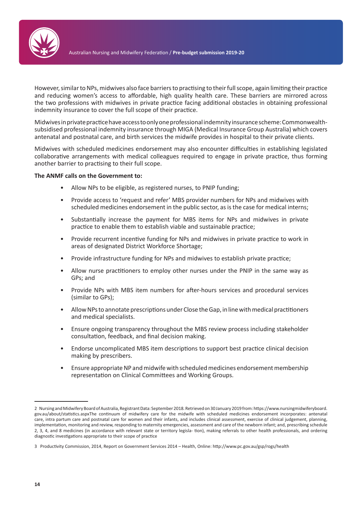

However, similar to NPs, midwives also face barriers to practising to their full scope, again limiting their practice and reducing women's access to affordable, high quality health care. These barriers are mirrored across the two professions with midwives in private practice facing additional obstacles in obtaining professional indemnity insurance to cover the full scope of their practice.

Midwives in private practice have access to only one professional indemnity insurance scheme: Commonwealthsubsidised professional indemnity insurance through MIGA (Medical Insurance Group Australia) which covers antenatal and postnatal care, and birth services the midwife provides in hospital to their private clients.

Midwives with scheduled medicines endorsement may also encounter difficulties in establishing legislated collaborative arrangements with medical colleagues required to engage in private practice, thus forming another barrier to practising to their full scope.

- Allow NPs to be eligible, as registered nurses, to PNIP funding;
- Provide access to 'request and refer' MBS provider numbers for NPs and midwives with scheduled medicines endorsement in the public sector, as is the case for medical interns;
- Substantially increase the payment for MBS items for NPs and midwives in private practice to enable them to establish viable and sustainable practice;
- Provide recurrent incentive funding for NPs and midwives in private practice to work in areas of designated District Workforce Shortage;
- Provide infrastructure funding for NPs and midwives to establish private practice;
- Allow nurse practitioners to employ other nurses under the PNIP in the same way as GPs; and
- Provide NPs with MBS item numbers for after-hours services and procedural services (similar to GPs);
- Allow NPs to annotate prescriptions under Close the Gap, in line with medical practitioners and medical specialists.
- Ensure ongoing transparency throughout the MBS review process including stakeholder consultation, feedback, and final decision making.
- Endorse uncomplicated MBS item descriptions to support best practice clinical decision making by prescribers.
- Ensure appropriate NP and midwife with scheduled medicines endorsement membership representation on Clinical Committees and Working Groups.

<sup>2</sup> Nursing and Midwifery Board of Australia, Registrant Data: September 2018. Retrieved on 30 January 2019 from: https://www.nursingmidwiferyboard. gov.au/about/statistics.aspxThe continuum of midwifery care for the midwife with scheduled medicines endorsement incorporates: antenatal care, intra partum care and postnatal care for women and their infants, and includes clinical assessment, exercise of clinical judgement, planning, implementation, monitoring and review, responding to maternity emergencies, assessment and care of the newborn infant; and, prescribing schedule 2, 3, 4, and 8 medicines (in accordance with relevant state or territory legisla- tion), making referrals to other health professionals, and ordering diagnostic investigations appropriate to their scope of practice

<sup>3</sup> Productivity Commission, 2014, Report on Government Services 2014 – Health, Online: http://www.pc.gov.au/gsp/rogs/health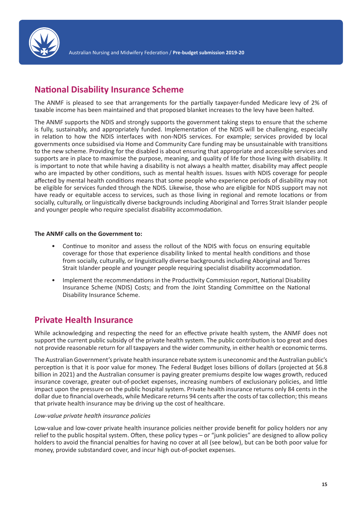

# **National Disability Insurance Scheme**

The ANMF is pleased to see that arrangements for the partially taxpayer-funded Medicare levy of 2% of taxable income has been maintained and that proposed blanket increases to the levy have been halted.

The ANMF supports the NDIS and strongly supports the government taking steps to ensure that the scheme is fully, sustainably, and appropriately funded. Implementation of the NDIS will be challenging, especially in relation to how the NDIS interfaces with non-NDIS services. For example; services provided by local governments once subsidised via Home and Community Care funding may be unsustainable with transitions to the new scheme. Providing for the disabled is about ensuring that appropriate and accessible services and supports are in place to maximise the purpose, meaning, and quality of life for those living with disability. It is important to note that while having a disability is not always a health matter, disability may affect people who are impacted by other conditions, such as mental health issues. Issues with NDIS coverage for people affected by mental health conditions means that some people who experience periods of disability may not be eligible for services funded through the NDIS. Likewise, those who are eligible for NDIS support may not have ready or equitable access to services, such as those living in regional and remote locations or from socially, culturally, or linguistically diverse backgrounds including Aboriginal and Torres Strait Islander people and younger people who require specialist disability accommodation.

# **The ANMF calls on the Government to:**

- Continue to monitor and assess the rollout of the NDIS with focus on ensuring equitable coverage for those that experience disability linked to mental health conditions and those from socially, culturally, or linguistically diverse backgrounds including Aboriginal and Torres Strait Islander people and younger people requiring specialist disability accommodation.
- Implement the recommendations in the Productivity Commission report, National Disability Insurance Scheme (NDIS) Costs; and from the Joint Standing Committee on the National Disability Insurance Scheme.

# **Private Health Insurance**

While acknowledging and respecting the need for an effective private health system, the ANMF does not support the current public subsidy of the private health system. The public contribution is too great and does not provide reasonable return for all taxpayers and the wider community, in either health or economic terms.

The Australian Government's private health insurance rebate system is uneconomic and the Australian public's perception is that it is poor value for money. The Federal Budget loses billions of dollars (projected at \$6.8 billion in 2021) and the Australian consumer is paying greater premiums despite low wages growth, reduced insurance coverage, greater out-of-pocket expenses, increasing numbers of exclusionary policies, and little impact upon the pressure on the public hospital system. Private health insurance returns only 84 cents in the dollar due to financial overheads, while Medicare returns 94 cents after the costs of tax collection; this means that private health insurance may be driving up the cost of healthcare.

# *Low-value private health insurance policies*

Low-value and low-cover private health insurance policies neither provide benefit for policy holders nor any relief to the public hospital system. Often, these policy types – or "junk policies" are designed to allow policy holders to avoid the financial penalties for having no cover at all (see below), but can be both poor value for money, provide substandard cover, and incur high out-of-pocket expenses.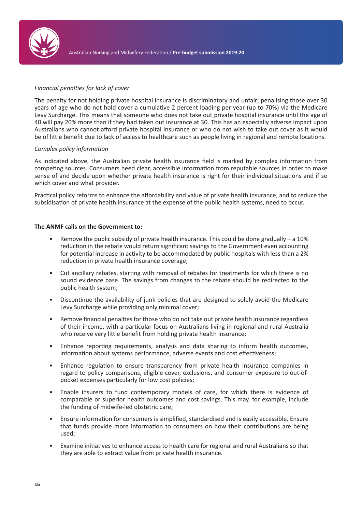

# *Financial penalties for lack of cover*

The penalty for not holding private hospital insurance is discriminatory and unfair; penalising those over 30 years of age who do not hold cover a cumulative 2 percent loading per year (up to 70%) via the Medicare Levy Surcharge. This means that someone who does not take out private hospital insurance until the age of 40 will pay 20% more than if they had taken out insurance at 30. This has an especially adverse impact upon Australians who cannot afford private hospital insurance or who do not wish to take out cover as it would be of little benefit due to lack of access to healthcare such as people living in regional and remote locations.

### *Complex policy information*

As indicated above, the Australian private health insurance field is marked by complex information from competing sources. Consumers need clear, accessible information from reputable sources in order to make sense of and decide upon whether private health insurance is right for their individual situations and if so which cover and what provider.

Practical policy reforms to enhance the affordability and value of private health insurance, and to reduce the subsidisation of private health insurance at the expense of the public health systems, need to occur.

- Remove the public subsidy of private health insurance. This could be done gradually a 10% reduction in the rebate would return significant savings to the Government even accounting for potential increase in activity to be accommodated by public hospitals with less than a 2% reduction in private health insurance coverage;
- Cut ancillary rebates, starting with removal of rebates for treatments for which there is no sound evidence base. The savings from changes to the rebate should be redirected to the public health system;
- Discontinue the availability of junk policies that are designed to solely avoid the Medicare Levy Surcharge while providing only minimal cover;
- Remove financial penalties for those who do not take out private health insurance regardless of their income, with a particular focus on Australians living in regional and rural Australia who receive very little benefit from holding private health insurance;
- Enhance reporting requirements, analysis and data sharing to inform health outcomes, information about systems performance, adverse events and cost effectiveness;
- Enhance regulation to ensure transparency from private health insurance companies in regard to policy comparisons, eligible cover, exclusions, and consumer exposure to out-ofpocket expenses particularly for low cost policies;
- Enable insurers to fund contemporary models of care, for which there is evidence of comparable or superior health outcomes and cost savings. This may, for example, include the funding of midwife-led obstetric care;
- Ensure information for consumers is simplified, standardised and is easily accessible. Ensure that funds provide more information to consumers on how their contributions are being used;
- Examine initiatives to enhance access to health care for regional and rural Australians so that they are able to extract value from private health insurance.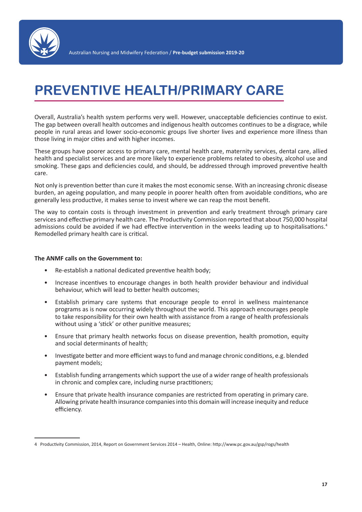

# **PREVENTIVE HEALTH/PRIMARY CARE**

Overall, Australia's health system performs very well. However, unacceptable deficiencies continue to exist. The gap between overall health outcomes and indigenous health outcomes continues to be a disgrace, while people in rural areas and lower socio-economic groups live shorter lives and experience more illness than those living in major cities and with higher incomes.

These groups have poorer access to primary care, mental health care, maternity services, dental care, allied health and specialist services and are more likely to experience problems related to obesity, alcohol use and smoking. These gaps and deficiencies could, and should, be addressed through improved preventive health care.

Not only is prevention better than cure it makes the most economic sense. With an increasing chronic disease burden, an ageing population, and many people in poorer health often from avoidable conditions, who are generally less productive, it makes sense to invest where we can reap the most benefit.

The way to contain costs is through investment in prevention and early treatment through primary care services and effective primary health care. The Productivity Commission reported that about 750,000 hospital admissions could be avoided if we had effective intervention in the weeks leading up to hospitalisations.<sup>4</sup> Remodelled primary health care is critical.

- Re-establish a national dedicated preventive health body;
- Increase incentives to encourage changes in both health provider behaviour and individual behaviour, which will lead to better health outcomes;
- Establish primary care systems that encourage people to enrol in wellness maintenance programs as is now occurring widely throughout the world. This approach encourages people to take responsibility for their own health with assistance from a range of health professionals without using a 'stick' or other punitive measures;
- Ensure that primary health networks focus on disease prevention, health promotion, equity and social determinants of health;
- Investigate better and more efficient ways to fund and manage chronic conditions, e.g. blended payment models;
- Establish funding arrangements which support the use of a wider range of health professionals in chronic and complex care, including nurse practitioners;
- Ensure that private health insurance companies are restricted from operating in primary care. Allowing private health insurance companies into this domain will increase inequity and reduce efficiency.

<sup>4</sup> Productivity Commission, 2014, Report on Government Services 2014 – Health, Online: http://www.pc.gov.au/gsp/rogs/health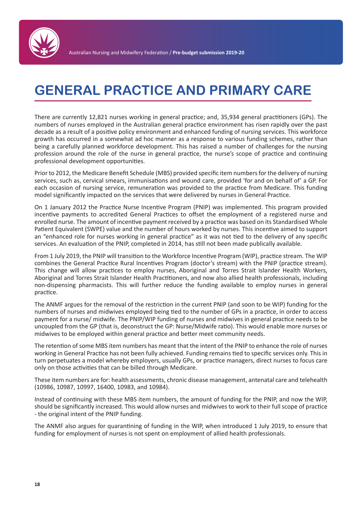

# **GENERAL PRACTICE AND PRIMARY CARE**

There are currently 12,821 nurses working in general practice; and, 35,934 general practitioners (GPs). The numbers of nurses employed in the Australian general practice environment has risen rapidly over the past decade as a result of a positive policy environment and enhanced funding of nursing services. This workforce growth has occurred in a somewhat ad hoc manner as a response to various funding schemes, rather than being a carefully planned workforce development. This has raised a number of challenges for the nursing profession around the role of the nurse in general practice, the nurse's scope of practice and continuing professional development opportunities.

Prior to 2012, the Medicare Benefit Schedule (MBS) provided specific item numbers for the delivery of nursing services, such as, cervical smears, immunisations and wound care, provided 'for and on behalf of' a GP. For each occasion of nursing service, remuneration was provided to the practice from Medicare. This funding model significantly impacted on the services that were delivered by nurses in General Practice.

On 1 January 2012 the Practice Nurse Incentive Program (PNIP) was implemented. This program provided incentive payments to accredited General Practices to offset the employment of a registered nurse and enrolled nurse. The amount of incentive payment received by a practice was based on its Standardised Whole Patient Equivalent (SWPE) value and the number of hours worked by nurses. This incentive aimed to support an "enhanced role for nurses working in general practice" as it was not tied to the delivery of any specific services. An evaluation of the PNIP, completed in 2014, has still not been made publically available.

From 1 July 2019, the PNIP will transition to the Workforce Incentive Program (WIP), practice stream. The WIP combines the General Practice Rural Incentives Program (doctor's stream) with the PNIP (practice stream). This change will allow practices to employ nurses, Aboriginal and Torres Strait Islander Health Workers, Aboriginal and Torres Strait Islander Health Practitioners, and now also allied health professionals, including non-dispensing pharmacists. This will further reduce the funding available to employ nurses in general practice.

The ANMF argues for the removal of the restriction in the current PNIP (and soon to be WIP) funding for the numbers of nurses and midwives employed being tied to the number of GPs in a practice, in order to access payment for a nurse/ midwife. The PNIP/WIP funding of nurses and midwives in general practice needs to be uncoupled from the GP (that is, deconstruct the GP: Nurse/Midwife ratio). This would enable more nurses or midwives to be employed within general practice and better meet community needs.

The retention of some MBS item numbers has meant that the intent of the PNIP to enhance the role of nurses working in General Practice has not been fully achieved. Funding remains tied to specific services only. This in turn perpetuates a model whereby employers, usually GPs, or practice managers, direct nurses to focus care only on those activities that can be billed through Medicare.

These item numbers are for: health assessments, chronic disease management, antenatal care and telehealth (10986, 10987, 10997, 16400, 10983, and 10984).

Instead of continuing with these MBS item numbers, the amount of funding for the PNIP, and now the WIP, should be significantly increased. This would allow nurses and midwives to work to their full scope of practice - the original intent of the PNIP funding.

The ANMF also argues for quarantining of funding in the WIP, when introduced 1 July 2019, to ensure that funding for employment of nurses is not spent on employment of allied health professionals.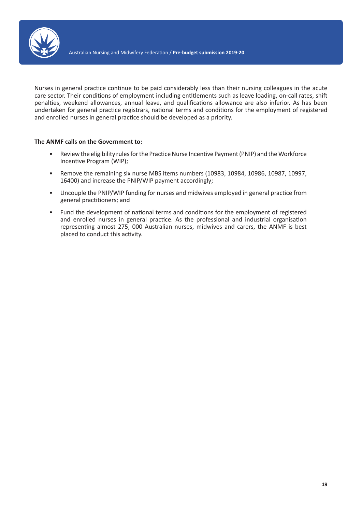

Nurses in general practice continue to be paid considerably less than their nursing colleagues in the acute care sector. Their conditions of employment including entitlements such as leave loading, on-call rates, shift penalties, weekend allowances, annual leave, and qualifications allowance are also inferior. As has been undertaken for general practice registrars, national terms and conditions for the employment of registered and enrolled nurses in general practice should be developed as a priority.

- Review the eligibility rules for the Practice Nurse Incentive Payment (PNIP) and the Workforce Incentive Program (WIP);
- Remove the remaining six nurse MBS items numbers (10983, 10984, 10986, 10987, 10997, 16400) and increase the PNIP/WIP payment accordingly;
- Uncouple the PNIP/WIP funding for nurses and midwives employed in general practice from general practitioners; and
- Fund the development of national terms and conditions for the employment of registered and enrolled nurses in general practice. As the professional and industrial organisation representing almost 275, 000 Australian nurses, midwives and carers, the ANMF is best placed to conduct this activity.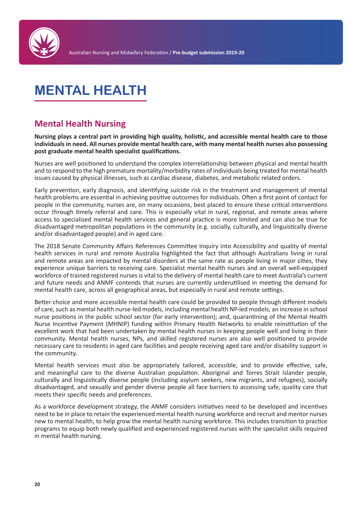

# **MENTAL HEALTH**

# **Mental Health Nursing**

**Nursing plays a central part in providing high quality, holistic, and accessible mental health care to those individuals in need. All nurses provide mental health care, with many mental health nurses also possessing post graduate mental health specialist qualifications.**

Nurses are well positioned to understand the complex interrelationship between physical and mental health and to respond to the high premature mortality/morbidity rates of individuals being treated for mental health issues caused by physical illnesses, such as cardiac disease, diabetes, and metabolic related orders.

Early prevention, early diagnosis, and identifying suicide risk in the treatment and management of mental health problems are essential in achieving positive outcomes for individuals. Often a first point of contact for people in the community, nurses are, on many occasions, best placed to ensure these critical interventions occur through timely referral and care. This is especially vital in rural, regional, and remote areas where access to specialised mental health services and general practice is more limited and can also be true for disadvantaged metropolitan populations in the community (e.g. socially, culturally, and linguistically diverse and/or disadvantaged people) and in aged care.

The 2018 Senate Community Affairs References Committee Inquiry into Accessibility and quality of mental health services in rural and remote Australia highlighted the fact that although Australians living in rural and remote areas are impacted by mental disorders at the same rate as people living in major cities, they experience unique barriers to receiving care. Specialist mental health nurses and an overall well-equipped workforce of trained registered nurses is vital to the delivery of mental health care to meet Australia's current and future needs and ANMF contends that nurses are currently underutilised in meeting the demand for mental health care, across all geographical areas, but especially in rural and remote settings.

Better choice and more accessible mental health care could be provided to people through different models of care, such as mental health nurse-led models, including mental health NP-led models; an increase in school nurse positions in the public school sector (for early intervention); and, quarantining of the Mental Health Nurse Incentive Payment (MHNIP) funding within Primary Health Networks to enable reinstitution of the excellent work that had been undertaken by mental health nurses in keeping people well and living in their community. Mental health nurses, NPs, and skilled registered nurses are also well positioned to provide necessary care to residents in aged care facilities and people receiving aged care and/or disability support in the community.

Mental health services must also be appropriately tailored, accessible, and to provide effective, safe, and meaningful care to the diverse Australian population. Aboriginal and Torres Strait Islander people, culturally and linguistically diverse people (including asylum seekers, new migrants, and refugees), socially disadvantaged, and sexually and gender diverse people all face barriers to accessing safe, quality care that meets their specific needs and preferences.

As a workforce development strategy, the ANMF considers initiatives need to be developed and incentives need to be in place to retain the experienced mental health nursing workforce and recruit and mentor nurses new to mental health, to help grow the mental health nursing workforce. This includes transition to practice programs to equip both newly qualified and experienced registered nurses with the specialist skills required in mental health nursing.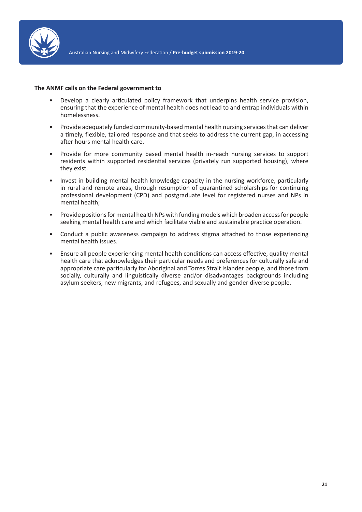

### **The ANMF calls on the Federal government to**

- Develop a clearly articulated policy framework that underpins health service provision, ensuring that the experience of mental health does not lead to and entrap individuals within homelessness.
- Provide adequately funded community-based mental health nursing services that can deliver a timely, flexible, tailored response and that seeks to address the current gap, in accessing after hours mental health care.
- Provide for more community based mental health in-reach nursing services to support residents within supported residential services (privately run supported housing), where they exist.
- Invest in building mental health knowledge capacity in the nursing workforce, particularly in rural and remote areas, through resumption of quarantined scholarships for continuing professional development (CPD) and postgraduate level for registered nurses and NPs in mental health;
- Provide positions for mental health NPs with funding models which broaden access for people seeking mental health care and which facilitate viable and sustainable practice operation.
- Conduct a public awareness campaign to address stigma attached to those experiencing mental health issues.
- Ensure all people experiencing mental health conditions can access effective, quality mental health care that acknowledges their particular needs and preferences for culturally safe and appropriate care particularly for Aboriginal and Torres Strait Islander people, and those from socially, culturally and linguistically diverse and/or disadvantages backgrounds including asylum seekers, new migrants, and refugees, and sexually and gender diverse people.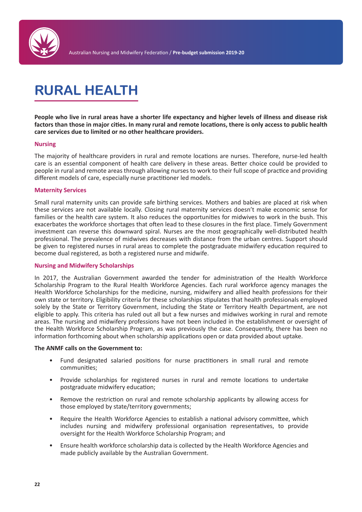

# **RURAL HEALTH**

**People who live in rural areas have a shorter life expectancy and higher levels of illness and disease risk factors than those in major cities. In many rural and remote locations, there is only access to public health care services due to limited or no other healthcare providers.** 

# **Nursing**

The majority of healthcare providers in rural and remote locations are nurses. Therefore, nurse-led health care is an essential component of health care delivery in these areas. Better choice could be provided to people in rural and remote areas through allowing nurses to work to their full scope of practice and providing different models of care, especially nurse practitioner led models.

### **Maternity Services**

Small rural maternity units can provide safe birthing services. Mothers and babies are placed at risk when these services are not available locally. Closing rural maternity services doesn't make economic sense for families or the health care system. It also reduces the opportunities for midwives to work in the bush. This exacerbates the workforce shortages that often lead to these closures in the first place. Timely Government investment can reverse this downward spiral. Nurses are the most geographically well-distributed health professional. The prevalence of midwives decreases with distance from the urban centres. Support should be given to registered nurses in rural areas to complete the postgraduate midwifery education required to become dual registered, as both a registered nurse and midwife.

# **Nursing and Midwifery Scholarships**

In 2017, the Australian Government awarded the tender for administration of the Health Workforce Scholarship Program to the Rural Health Workforce Agencies. Each rural workforce agency manages the Health Workforce Scholarships for the medicine, nursing, midwifery and allied health professions for their own state or territory. Eligibility criteria for these scholarships stipulates that health professionals employed solely by the State or Territory Government, including the State or Territory Health Department, are not eligible to apply. This criteria has ruled out all but a few nurses and midwives working in rural and remote areas. The nursing and midwifery professions have not been included in the establishment or oversight of the Health Workforce Scholarship Program, as was previously the case. Consequently, there has been no information forthcoming about when scholarship applications open or data provided about uptake.

- Fund designated salaried positions for nurse practitioners in small rural and remote communities;
- Provide scholarships for registered nurses in rural and remote locations to undertake postgraduate midwifery education;
- Remove the restriction on rural and remote scholarship applicants by allowing access for those employed by state/territory governments;
- Require the Health Workforce Agencies to establish a national advisory committee, which includes nursing and midwifery professional organisation representatives, to provide oversight for the Health Workforce Scholarship Program; and
- Ensure health workforce scholarship data is collected by the Health Workforce Agencies and made publicly available by the Australian Government.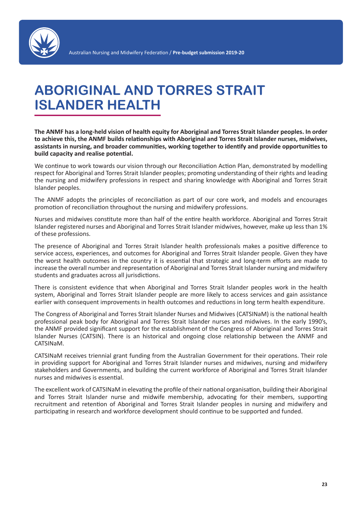

# **ABORIGINAL AND TORRES STRAIT ISLANDER HEALTH**

**The ANMF has a long-held vision of health equity for Aboriginal and Torres Strait Islander peoples. In order to achieve this, the ANMF builds relationships with Aboriginal and Torres Strait Islander nurses, midwives, assistants in nursing, and broader communities, working together to identify and provide opportunities to build capacity and realise potential.**

We continue to work towards our vision through our Reconciliation Action Plan, demonstrated by modelling respect for Aboriginal and Torres Strait Islander peoples; promoting understanding of their rights and leading the nursing and midwifery professions in respect and sharing knowledge with Aboriginal and Torres Strait Islander peoples.

The ANMF adopts the principles of reconciliation as part of our core work, and models and encourages promotion of reconciliation throughout the nursing and midwifery professions.

Nurses and midwives constitute more than half of the entire health workforce. Aboriginal and Torres Strait Islander registered nurses and Aboriginal and Torres Strait Islander midwives, however, make up less than 1% of these professions.

The presence of Aboriginal and Torres Strait Islander health professionals makes a positive difference to service access, experiences, and outcomes for Aboriginal and Torres Strait Islander people. Given they have the worst health outcomes in the country it is essential that strategic and long-term efforts are made to increase the overall number and representation of Aboriginal and Torres Strait Islander nursing and midwifery students and graduates across all jurisdictions.

There is consistent evidence that when Aboriginal and Torres Strait Islander peoples work in the health system, Aboriginal and Torres Strait Islander people are more likely to access services and gain assistance earlier with consequent improvements in health outcomes and reductions in long term health expenditure.

The Congress of Aboriginal and Torres Strait Islander Nurses and Midwives (CATSINaM) is the national health professional peak body for Aboriginal and Torres Strait Islander nurses and midwives. In the early 1990's, the ANMF provided significant support for the establishment of the Congress of Aboriginal and Torres Strait Islander Nurses (CATSIN). There is an historical and ongoing close relationship between the ANMF and CATSINaM.

CATSINaM receives triennial grant funding from the Australian Government for their operations. Their role in providing support for Aboriginal and Torres Strait Islander nurses and midwives, nursing and midwifery stakeholders and Governments, and building the current workforce of Aboriginal and Torres Strait Islander nurses and midwives is essential.

The excellent work of CATSINaM in elevating the profile of their national organisation, building their Aboriginal and Torres Strait Islander nurse and midwife membership, advocating for their members, supporting recruitment and retention of Aboriginal and Torres Strait Islander peoples in nursing and midwifery and participating in research and workforce development should continue to be supported and funded.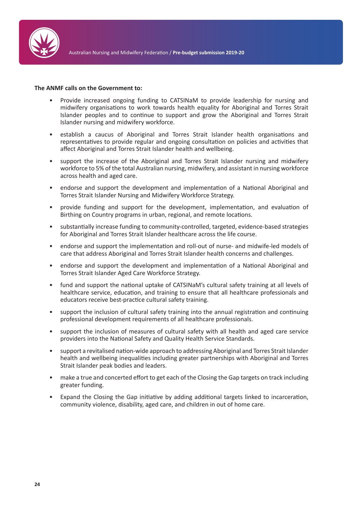

- Provide increased ongoing funding to CATSINaM to provide leadership for nursing and midwifery organisations to work towards health equality for Aboriginal and Torres Strait Islander peoples and to continue to support and grow the Aboriginal and Torres Strait Islander nursing and midwifery workforce.
- establish a caucus of Aboriginal and Torres Strait Islander health organisations and representatives to provide regular and ongoing consultation on policies and activities that affect Aboriginal and Torres Strait Islander health and wellbeing.
- support the increase of the Aboriginal and Torres Strait Islander nursing and midwifery workforce to 5% of the total Australian nursing, midwifery, and assistant in nursing workforce across health and aged care.
- endorse and support the development and implementation of a National Aboriginal and Torres Strait Islander Nursing and Midwifery Workforce Strategy.
- provide funding and support for the development, implementation, and evaluation of Birthing on Country programs in urban, regional, and remote locations.
- substantially increase funding to community-controlled, targeted, evidence-based strategies for Aboriginal and Torres Strait Islander healthcare across the life course.
- endorse and support the implementation and roll-out of nurse- and midwife-led models of care that address Aboriginal and Torres Strait Islander health concerns and challenges.
- endorse and support the development and implementation of a National Aboriginal and Torres Strait Islander Aged Care Workforce Strategy.
- fund and support the national uptake of CATSINaM's cultural safety training at all levels of healthcare service, education, and training to ensure that all healthcare professionals and educators receive best-practice cultural safety training.
- support the inclusion of cultural safety training into the annual registration and continuing professional development requirements of all healthcare professionals.
- support the inclusion of measures of cultural safety with all health and aged care service providers into the National Safety and Quality Health Service Standards.
- support a revitalised nation-wide approach to addressing Aboriginal and Torres Strait Islander health and wellbeing inequalities including greater partnerships with Aboriginal and Torres Strait Islander peak bodies and leaders.
- make a true and concerted effort to get each of the Closing the Gap targets on track including greater funding.
- Expand the Closing the Gap initiative by adding additional targets linked to incarceration, community violence, disability, aged care, and children in out of home care.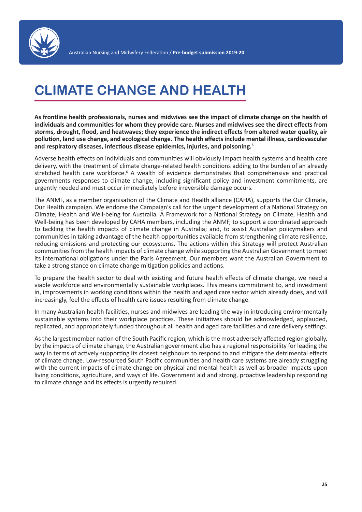

# **CLIMATE CHANGE AND HEALTH**

**As frontline health professionals, nurses and midwives see the impact of climate change on the health of individuals and communities for whom they provide care. Nurses and midwives see the direct effects from storms, drought, flood, and heatwaves; they experience the indirect effects from altered water quality, air pollution, land use change, and ecological change. The health effects include mental illness, cardiovascular and respiratory diseases, infectious disease epidemics, injuries, and poisoning.<sup>5</sup>**

Adverse health effects on individuals and communities will obviously impact health systems and health care delivery, with the treatment of climate change-related health conditions adding to the burden of an already stretched health care workforce.<sup>6</sup> A wealth of evidence demonstrates that comprehensive and practical governments responses to climate change, including significant policy and investment commitments, are urgently needed and must occur immediately before irreversible damage occurs.

The ANMF, as a member organisation of the Climate and Health alliance (CAHA), supports the Our Climate, Our Health campaign. We endorse the Campaign's call for the urgent development of a National Strategy on Climate, Health and Well-being for Australia. A Framework for a National Strategy on Climate, Health and Well-being has been developed by CAHA members, including the ANMF, to support a coordinated approach to tackling the health impacts of climate change in Australia; and, to assist Australian policymakers and communities in taking advantage of the health opportunities available from strengthening climate resilience, reducing emissions and protecting our ecosystems. The actions within this Strategy will protect Australian communities from the health impacts of climate change while supporting the Australian Government to meet its international obligations under the Paris Agreement. Our members want the Australian Government to take a strong stance on climate change mitigation policies and actions.

To prepare the health sector to deal with existing and future health effects of climate change, we need a viable workforce and environmentally sustainable workplaces. This means commitment to, and investment in, improvements in working conditions within the health and aged care sector which already does, and will increasingly, feel the effects of health care issues resulting from climate change.

In many Australian health facilities, nurses and midwives are leading the way in introducing environmentally sustainable systems into their workplace practices. These initiatives should be acknowledged, applauded, replicated, and appropriately funded throughout all health and aged care facilities and care delivery settings.

As the largest member nation of the South Pacific region, which is the most adversely affected region globally, by the impacts of climate change, the Australian government also has a regional responsibility for leading the way in terms of actively supporting its closest neighbours to respond to and mitigate the detrimental effects of climate change. Low-resourced South Pacific communities and health care systems are already struggling with the current impacts of climate change on physical and mental health as well as broader impacts upon living conditions, agriculture, and ways of life. Government aid and strong, proactive leadership responding to climate change and its effects is urgently required.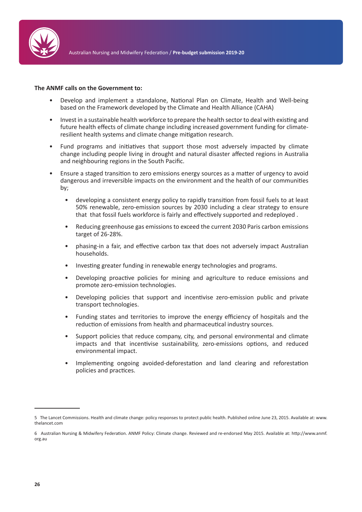

- Develop and implement a standalone, National Plan on Climate, Health and Well-being based on the Framework developed by the Climate and Health Alliance (CAHA)
- Invest in a sustainable health workforce to prepare the health sector to deal with existing and future health effects of climate change including increased government funding for climateresilient health systems and climate change mitigation research.
- Fund programs and initiatives that support those most adversely impacted by climate change including people living in drought and natural disaster affected regions in Australia and neighbouring regions in the South Pacific.
- Ensure a staged transition to zero emissions energy sources as a matter of urgency to avoid dangerous and irreversible impacts on the environment and the health of our communities by;
	- developing a consistent energy policy to rapidly transition from fossil fuels to at least 50% renewable, zero-emission sources by 2030 including a clear strategy to ensure that that fossil fuels workforce is fairly and effectively supported and redeployed .
	- Reducing greenhouse gas emissions to exceed the current 2030 Paris carbon emissions target of 26-28%.
	- phasing-in a fair, and effective carbon tax that does not adversely impact Australian households.
	- Investing greater funding in renewable energy technologies and programs.
	- Developing proactive policies for mining and agriculture to reduce emissions and promote zero-emission technologies.
	- Developing policies that support and incentivise zero-emission public and private transport technologies.
	- Funding states and territories to improve the energy efficiency of hospitals and the reduction of emissions from health and pharmaceutical industry sources.
	- Support policies that reduce company, city, and personal environmental and climate impacts and that incentivise sustainability, zero-emissions options, and reduced environmental impact.
	- Implementing ongoing avoided-deforestation and land clearing and reforestation policies and practices.

<sup>5</sup> The Lancet Commissions. Health and climate change: policy responses to protect public health. Published online June 23, 2015. Available at: www. thelancet.com

<sup>6</sup> Australian Nursing & Midwifery Federation. ANMF Policy: Climate change. Reviewed and re-endorsed May 2015. Available at: http://www.anmf. org.au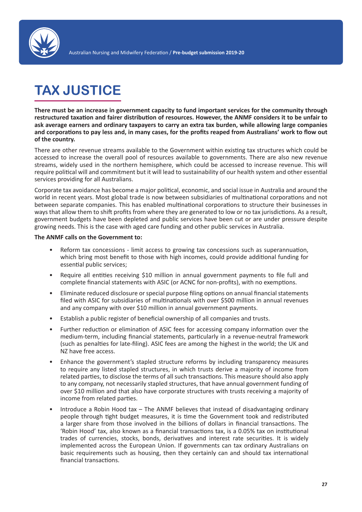

# **TAX JUSTICE**

**There must be an increase in government capacity to fund important services for the community through restructured taxation and fairer distribution of resources. However, the ANMF considers it to be unfair to ask average earners and ordinary taxpayers to carry an extra tax burden, while allowing large companies and corporations to pay less and, in many cases, for the profits reaped from Australians' work to flow out of the country.**

There are other revenue streams available to the Government within existing tax structures which could be accessed to increase the overall pool of resources available to governments. There are also new revenue streams, widely used in the northern hemisphere, which could be accessed to increase revenue. This will require political will and commitment but it will lead to sustainability of our health system and other essential services providing for all Australians.

Corporate tax avoidance has become a major political, economic, and social issue in Australia and around the world in recent years. Most global trade is now between subsidiaries of multinational corporations and not between separate companies. This has enabled multinational corporations to structure their businesses in ways that allow them to shift profits from where they are generated to low or no tax jurisdictions. As a result, government budgets have been depleted and public services have been cut or are under pressure despite growing needs. This is the case with aged care funding and other public services in Australia.

- Reform tax concessions limit access to growing tax concessions such as superannuation, which bring most benefit to those with high incomes, could provide additional funding for essential public services;
- Require all entities receiving \$10 million in annual government payments to file full and complete financial statements with ASIC (or ACNC for non-profits), with no exemptions.
- Eliminate reduced disclosure or special purpose filing options on annual financial statements filed with ASIC for subsidiaries of multinationals with over \$500 million in annual revenues and any company with over \$10 million in annual government payments.
- Establish a public register of beneficial ownership of all companies and trusts.
- Further reduction or elimination of ASIC fees for accessing company information over the medium-term, including financial statements, particularly in a revenue-neutral framework (such as penalties for late-filing). ASIC fees are among the highest in the world; the UK and NZ have free access.
- Enhance the government's stapled structure reforms by including transparency measures to require any listed stapled structures, in which trusts derive a majority of income from related parties, to disclose the terms of all such transactions. This measure should also apply to any company, not necessarily stapled structures, that have annual government funding of over \$10 million and that also have corporate structures with trusts receiving a majority of income from related parties.
- Introduce a Robin Hood tax The ANMF believes that instead of disadvantaging ordinary people through tight budget measures, it is time the Government took and redistributed a larger share from those involved in the billions of dollars in financial transactions. The 'Robin Hood' tax, also known as a financial transactions tax, is a 0.05% tax on institutional trades of currencies, stocks, bonds, derivatives and interest rate securities. It is widely implemented across the European Union. If governments can tax ordinary Australians on basic requirements such as housing, then they certainly can and should tax international financial transactions.